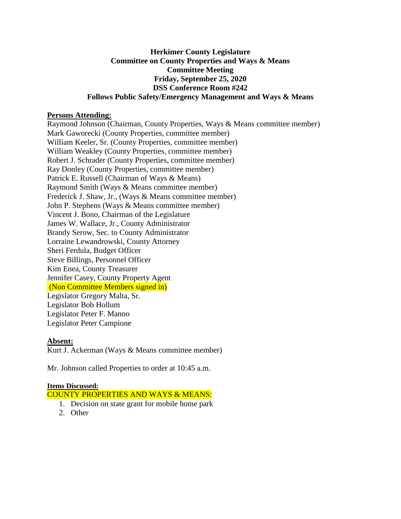## **Herkimer County Legislature Committee on County Properties and Ways & Means Committee Meeting Friday, September 25, 2020 DSS Conference Room #242 Follows Public Safety/Emergency Management and Ways & Means**

## **Persons Attending:**

Raymond Johnson (Chairman, County Properties, Ways & Means committee member) Mark Gaworecki (County Properties, committee member) William Keeler, Sr. (County Properties, committee member) William Weakley (County Properties, committee member) Robert J. Schrader (County Properties, committee member) Ray Donley (County Properties, committee member) Patrick E. Russell (Chairman of Ways & Means) Raymond Smith (Ways & Means committee member) Frederick J. Shaw, Jr., (Ways & Means committee member) John P. Stephens (Ways & Means committee member) Vincent J. Bono, Chairman of the Legislature James W. Wallace, Jr., County Administrator Brandy Serow, Sec. to County Administrator Lorraine Lewandrowski, County Attorney Sheri Ferdula, Budget Officer Steve Billings, Personnel Officer Kim Enea, County Treasurer Jennifer Casey, County Property Agent (Non Committee Members signed in) Legislator Gregory Malta, Sr. Legislator Bob Hollum Legislator Peter F. Manno Legislator Peter Campione

#### **Absent:**

Kurt J. Ackerman (Ways & Means committee member)

Mr. Johnson called Properties to order at 10:45 a.m.

#### **Items Discussed:**

COUNTY PROPERTIES AND WAYS & MEANS:

- 1. Decision on state grant for mobile home park
- 2. Other